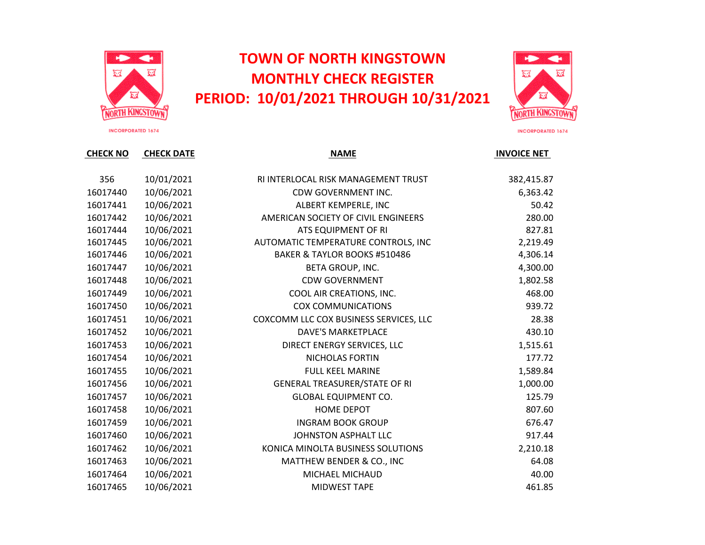

## **TOWN OF NORTH KINGSTOWN MONTHLY CHECK REGISTER PERIOD: 10/01/2021 THROUGH 10/31/2021**



**INCORPORATED 1674** 

| 356      | 10/01/2021 | RI INTERLOCAL RISK MANAGEMENT TRUST    | 382,415.87 |
|----------|------------|----------------------------------------|------------|
| 16017440 | 10/06/2021 | CDW GOVERNMENT INC.                    | 6,363.42   |
| 16017441 | 10/06/2021 | ALBERT KEMPERLE, INC                   | 50.42      |
| 16017442 | 10/06/2021 | AMERICAN SOCIETY OF CIVIL ENGINEERS    | 280.00     |
| 16017444 | 10/06/2021 | ATS EQUIPMENT OF RI                    | 827.81     |
| 16017445 | 10/06/2021 | AUTOMATIC TEMPERATURE CONTROLS, INC    | 2,219.49   |
| 16017446 | 10/06/2021 | BAKER & TAYLOR BOOKS #510486           | 4,306.14   |
| 16017447 | 10/06/2021 | BETA GROUP, INC.                       | 4,300.00   |
| 16017448 | 10/06/2021 | <b>CDW GOVERNMENT</b>                  | 1,802.58   |
| 16017449 | 10/06/2021 | COOL AIR CREATIONS, INC.               | 468.00     |
| 16017450 | 10/06/2021 | <b>COX COMMUNICATIONS</b>              | 939.72     |
| 16017451 | 10/06/2021 | COXCOMM LLC COX BUSINESS SERVICES, LLC | 28.38      |
| 16017452 | 10/06/2021 | <b>DAVE'S MARKETPLACE</b>              | 430.10     |
| 16017453 | 10/06/2021 | DIRECT ENERGY SERVICES, LLC            | 1,515.61   |
| 16017454 | 10/06/2021 | NICHOLAS FORTIN                        | 177.72     |
| 16017455 | 10/06/2021 | <b>FULL KEEL MARINE</b>                | 1,589.84   |
| 16017456 | 10/06/2021 | <b>GENERAL TREASURER/STATE OF RI</b>   | 1,000.00   |
| 16017457 | 10/06/2021 | <b>GLOBAL EQUIPMENT CO.</b>            | 125.79     |
| 16017458 | 10/06/2021 | HOME DEPOT                             | 807.60     |
| 16017459 | 10/06/2021 | <b>INGRAM BOOK GROUP</b>               | 676.47     |
| 16017460 | 10/06/2021 | JOHNSTON ASPHALT LLC                   | 917.44     |
| 16017462 | 10/06/2021 | KONICA MINOLTA BUSINESS SOLUTIONS      | 2,210.18   |
| 16017463 | 10/06/2021 | MATTHEW BENDER & CO., INC              | 64.08      |
| 16017464 | 10/06/2021 | MICHAEL MICHAUD                        | 40.00      |
| 16017465 | 10/06/2021 | <b>MIDWEST TAPE</b>                    | 461.85     |
|          |            |                                        |            |

**CHECK NO CHECK DATE INVOICE NET**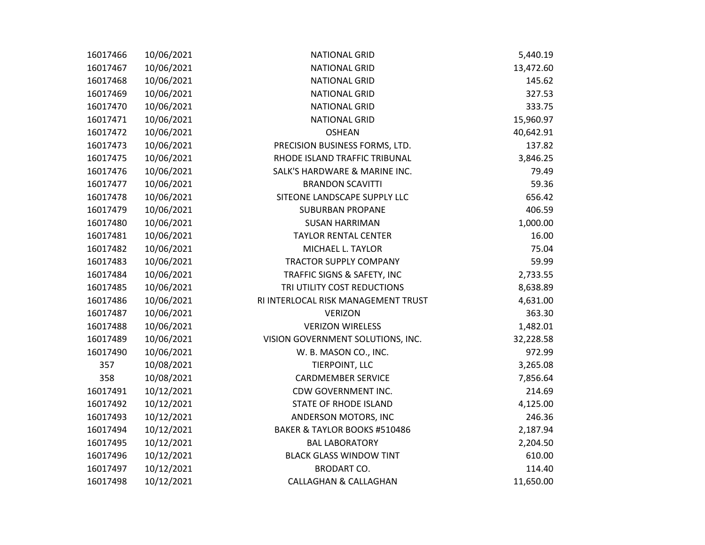| 16017466 | 10/06/2021 | <b>NATIONAL GRID</b>                | 5,440.19  |
|----------|------------|-------------------------------------|-----------|
| 16017467 | 10/06/2021 | <b>NATIONAL GRID</b>                | 13,472.60 |
| 16017468 | 10/06/2021 | <b>NATIONAL GRID</b>                | 145.62    |
| 16017469 | 10/06/2021 | <b>NATIONAL GRID</b>                | 327.53    |
| 16017470 | 10/06/2021 | <b>NATIONAL GRID</b>                | 333.75    |
| 16017471 | 10/06/2021 | <b>NATIONAL GRID</b>                | 15,960.97 |
| 16017472 | 10/06/2021 | <b>OSHEAN</b>                       | 40,642.91 |
| 16017473 | 10/06/2021 | PRECISION BUSINESS FORMS, LTD.      | 137.82    |
| 16017475 | 10/06/2021 | RHODE ISLAND TRAFFIC TRIBUNAL       | 3,846.25  |
| 16017476 | 10/06/2021 | SALK'S HARDWARE & MARINE INC.       | 79.49     |
| 16017477 | 10/06/2021 | <b>BRANDON SCAVITTI</b>             | 59.36     |
| 16017478 | 10/06/2021 | SITEONE LANDSCAPE SUPPLY LLC        | 656.42    |
| 16017479 | 10/06/2021 | <b>SUBURBAN PROPANE</b>             | 406.59    |
| 16017480 | 10/06/2021 | <b>SUSAN HARRIMAN</b>               | 1,000.00  |
| 16017481 | 10/06/2021 | <b>TAYLOR RENTAL CENTER</b>         | 16.00     |
| 16017482 | 10/06/2021 | MICHAEL L. TAYLOR                   | 75.04     |
| 16017483 | 10/06/2021 | <b>TRACTOR SUPPLY COMPANY</b>       | 59.99     |
| 16017484 | 10/06/2021 | TRAFFIC SIGNS & SAFETY, INC         | 2,733.55  |
| 16017485 | 10/06/2021 | TRI UTILITY COST REDUCTIONS         | 8,638.89  |
| 16017486 | 10/06/2021 | RI INTERLOCAL RISK MANAGEMENT TRUST | 4,631.00  |
| 16017487 | 10/06/2021 | <b>VERIZON</b>                      | 363.30    |
| 16017488 | 10/06/2021 | <b>VERIZON WIRELESS</b>             | 1,482.01  |
| 16017489 | 10/06/2021 | VISION GOVERNMENT SOLUTIONS, INC.   | 32,228.58 |
| 16017490 | 10/06/2021 | W. B. MASON CO., INC.               | 972.99    |
| 357      | 10/08/2021 | TIERPOINT, LLC                      | 3,265.08  |
| 358      | 10/08/2021 | <b>CARDMEMBER SERVICE</b>           | 7,856.64  |
| 16017491 | 10/12/2021 | CDW GOVERNMENT INC.                 | 214.69    |
| 16017492 | 10/12/2021 | <b>STATE OF RHODE ISLAND</b>        | 4,125.00  |
| 16017493 | 10/12/2021 | ANDERSON MOTORS, INC                | 246.36    |
| 16017494 | 10/12/2021 | BAKER & TAYLOR BOOKS #510486        | 2,187.94  |
| 16017495 | 10/12/2021 | <b>BAL LABORATORY</b>               | 2,204.50  |
| 16017496 | 10/12/2021 | <b>BLACK GLASS WINDOW TINT</b>      | 610.00    |
| 16017497 | 10/12/2021 | <b>BRODART CO.</b>                  | 114.40    |
| 16017498 | 10/12/2021 | <b>CALLAGHAN &amp; CALLAGHAN</b>    | 11,650.00 |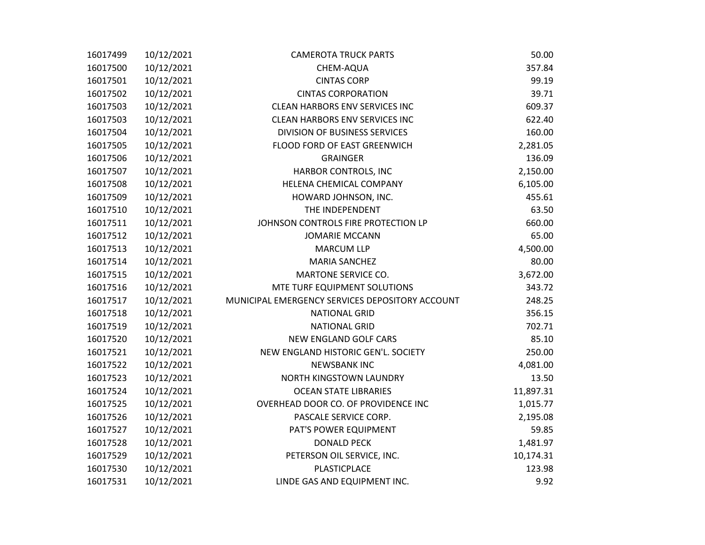| 16017499 | 10/12/2021 | <b>CAMEROTA TRUCK PARTS</b>                     | 50.00     |
|----------|------------|-------------------------------------------------|-----------|
| 16017500 | 10/12/2021 | CHEM-AQUA                                       | 357.84    |
| 16017501 | 10/12/2021 | <b>CINTAS CORP</b>                              | 99.19     |
| 16017502 | 10/12/2021 | <b>CINTAS CORPORATION</b>                       | 39.71     |
| 16017503 | 10/12/2021 | <b>CLEAN HARBORS ENV SERVICES INC</b>           | 609.37    |
| 16017503 | 10/12/2021 | <b>CLEAN HARBORS ENV SERVICES INC</b>           | 622.40    |
| 16017504 | 10/12/2021 | DIVISION OF BUSINESS SERVICES                   | 160.00    |
| 16017505 | 10/12/2021 | FLOOD FORD OF EAST GREENWICH                    | 2,281.05  |
| 16017506 | 10/12/2021 | <b>GRAINGER</b>                                 | 136.09    |
| 16017507 | 10/12/2021 | HARBOR CONTROLS, INC                            | 2,150.00  |
| 16017508 | 10/12/2021 | HELENA CHEMICAL COMPANY                         | 6,105.00  |
| 16017509 | 10/12/2021 | HOWARD JOHNSON, INC.                            | 455.61    |
| 16017510 | 10/12/2021 | THE INDEPENDENT                                 | 63.50     |
| 16017511 | 10/12/2021 | JOHNSON CONTROLS FIRE PROTECTION LP             | 660.00    |
| 16017512 | 10/12/2021 | <b>JOMARIE MCCANN</b>                           | 65.00     |
| 16017513 | 10/12/2021 | <b>MARCUM LLP</b>                               | 4,500.00  |
| 16017514 | 10/12/2021 | <b>MARIA SANCHEZ</b>                            | 80.00     |
| 16017515 | 10/12/2021 | MARTONE SERVICE CO.                             | 3,672.00  |
| 16017516 | 10/12/2021 | MTE TURF EQUIPMENT SOLUTIONS                    | 343.72    |
| 16017517 | 10/12/2021 | MUNICIPAL EMERGENCY SERVICES DEPOSITORY ACCOUNT | 248.25    |
| 16017518 | 10/12/2021 | <b>NATIONAL GRID</b>                            | 356.15    |
| 16017519 | 10/12/2021 | <b>NATIONAL GRID</b>                            | 702.71    |
| 16017520 | 10/12/2021 | NEW ENGLAND GOLF CARS                           | 85.10     |
| 16017521 | 10/12/2021 | NEW ENGLAND HISTORIC GEN'L. SOCIETY             | 250.00    |
| 16017522 | 10/12/2021 | <b>NEWSBANK INC</b>                             | 4,081.00  |
| 16017523 | 10/12/2021 | NORTH KINGSTOWN LAUNDRY                         | 13.50     |
| 16017524 | 10/12/2021 | <b>OCEAN STATE LIBRARIES</b>                    | 11,897.31 |
| 16017525 | 10/12/2021 | OVERHEAD DOOR CO. OF PROVIDENCE INC             | 1,015.77  |
| 16017526 | 10/12/2021 | PASCALE SERVICE CORP.                           | 2,195.08  |
| 16017527 | 10/12/2021 | PAT'S POWER EQUIPMENT                           | 59.85     |
| 16017528 | 10/12/2021 | <b>DONALD PECK</b>                              | 1,481.97  |
| 16017529 | 10/12/2021 | PETERSON OIL SERVICE, INC.                      | 10,174.31 |
| 16017530 | 10/12/2021 | PLASTICPLACE                                    | 123.98    |
| 16017531 | 10/12/2021 | LINDE GAS AND EQUIPMENT INC.                    | 9.92      |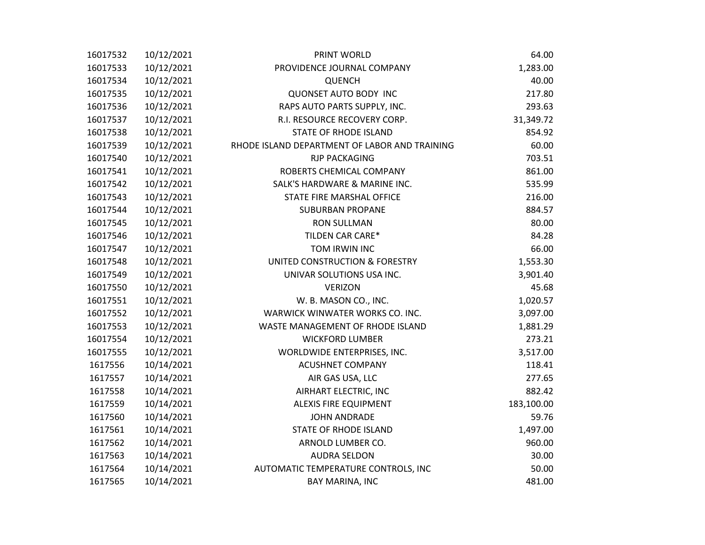| 16017532 | 10/12/2021 | PRINT WORLD                                   | 64.00      |
|----------|------------|-----------------------------------------------|------------|
| 16017533 | 10/12/2021 | PROVIDENCE JOURNAL COMPANY                    | 1,283.00   |
| 16017534 | 10/12/2021 | <b>QUENCH</b>                                 | 40.00      |
| 16017535 | 10/12/2021 | <b>QUONSET AUTO BODY INC</b>                  | 217.80     |
| 16017536 | 10/12/2021 | RAPS AUTO PARTS SUPPLY, INC.                  | 293.63     |
| 16017537 | 10/12/2021 | R.I. RESOURCE RECOVERY CORP.                  | 31,349.72  |
| 16017538 | 10/12/2021 | STATE OF RHODE ISLAND                         | 854.92     |
| 16017539 | 10/12/2021 | RHODE ISLAND DEPARTMENT OF LABOR AND TRAINING | 60.00      |
| 16017540 | 10/12/2021 | <b>RJP PACKAGING</b>                          | 703.51     |
| 16017541 | 10/12/2021 | ROBERTS CHEMICAL COMPANY                      | 861.00     |
| 16017542 | 10/12/2021 | SALK'S HARDWARE & MARINE INC.                 | 535.99     |
| 16017543 | 10/12/2021 | STATE FIRE MARSHAL OFFICE                     | 216.00     |
| 16017544 | 10/12/2021 | <b>SUBURBAN PROPANE</b>                       | 884.57     |
| 16017545 | 10/12/2021 | <b>RON SULLMAN</b>                            | 80.00      |
| 16017546 | 10/12/2021 | TILDEN CAR CARE*                              | 84.28      |
| 16017547 | 10/12/2021 | TOM IRWIN INC                                 | 66.00      |
| 16017548 | 10/12/2021 | UNITED CONSTRUCTION & FORESTRY                | 1,553.30   |
| 16017549 | 10/12/2021 | UNIVAR SOLUTIONS USA INC.                     | 3,901.40   |
| 16017550 | 10/12/2021 | <b>VERIZON</b>                                | 45.68      |
| 16017551 | 10/12/2021 | W. B. MASON CO., INC.                         | 1,020.57   |
| 16017552 | 10/12/2021 | WARWICK WINWATER WORKS CO. INC.               | 3,097.00   |
| 16017553 | 10/12/2021 | WASTE MANAGEMENT OF RHODE ISLAND              | 1,881.29   |
| 16017554 | 10/12/2021 | <b>WICKFORD LUMBER</b>                        | 273.21     |
| 16017555 | 10/12/2021 | WORLDWIDE ENTERPRISES, INC.                   | 3,517.00   |
| 1617556  | 10/14/2021 | <b>ACUSHNET COMPANY</b>                       | 118.41     |
| 1617557  | 10/14/2021 | AIR GAS USA, LLC                              | 277.65     |
| 1617558  | 10/14/2021 | AIRHART ELECTRIC, INC                         | 882.42     |
| 1617559  | 10/14/2021 | <b>ALEXIS FIRE EQUIPMENT</b>                  | 183,100.00 |
| 1617560  | 10/14/2021 | <b>JOHN ANDRADE</b>                           | 59.76      |
| 1617561  | 10/14/2021 | <b>STATE OF RHODE ISLAND</b>                  | 1,497.00   |
| 1617562  | 10/14/2021 | ARNOLD LUMBER CO.                             | 960.00     |
| 1617563  | 10/14/2021 | <b>AUDRA SELDON</b>                           | 30.00      |
| 1617564  | 10/14/2021 | AUTOMATIC TEMPERATURE CONTROLS, INC           | 50.00      |
| 1617565  | 10/14/2021 | BAY MARINA, INC                               | 481.00     |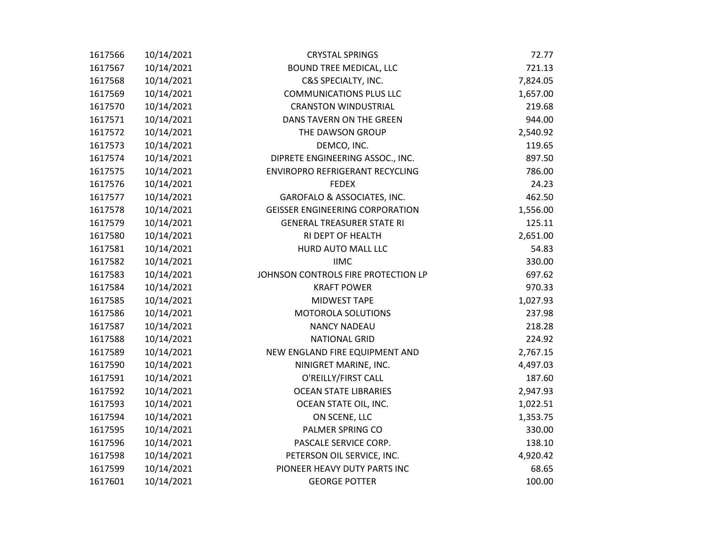| 1617566 | 10/14/2021 | <b>CRYSTAL SPRINGS</b>                 | 72.77    |
|---------|------------|----------------------------------------|----------|
| 1617567 | 10/14/2021 | BOUND TREE MEDICAL, LLC                | 721.13   |
| 1617568 | 10/14/2021 | C&S SPECIALTY, INC.                    | 7,824.05 |
| 1617569 | 10/14/2021 | <b>COMMUNICATIONS PLUS LLC</b>         | 1,657.00 |
| 1617570 | 10/14/2021 | <b>CRANSTON WINDUSTRIAL</b>            | 219.68   |
| 1617571 | 10/14/2021 | DANS TAVERN ON THE GREEN               | 944.00   |
| 1617572 | 10/14/2021 | THE DAWSON GROUP                       | 2,540.92 |
| 1617573 | 10/14/2021 | DEMCO, INC.                            | 119.65   |
| 1617574 | 10/14/2021 | DIPRETE ENGINEERING ASSOC., INC.       | 897.50   |
| 1617575 | 10/14/2021 | ENVIROPRO REFRIGERANT RECYCLING        | 786.00   |
| 1617576 | 10/14/2021 | <b>FEDEX</b>                           | 24.23    |
| 1617577 | 10/14/2021 | GAROFALO & ASSOCIATES, INC.            | 462.50   |
| 1617578 | 10/14/2021 | <b>GEISSER ENGINEERING CORPORATION</b> | 1,556.00 |
| 1617579 | 10/14/2021 | <b>GENERAL TREASURER STATE RI</b>      | 125.11   |
| 1617580 | 10/14/2021 | RI DEPT OF HEALTH                      | 2,651.00 |
| 1617581 | 10/14/2021 | HURD AUTO MALL LLC                     | 54.83    |
| 1617582 | 10/14/2021 | <b>IIMC</b>                            | 330.00   |
| 1617583 | 10/14/2021 | JOHNSON CONTROLS FIRE PROTECTION LP    | 697.62   |
| 1617584 | 10/14/2021 | <b>KRAFT POWER</b>                     | 970.33   |
| 1617585 | 10/14/2021 | MIDWEST TAPE                           | 1,027.93 |
| 1617586 | 10/14/2021 | MOTOROLA SOLUTIONS                     | 237.98   |
| 1617587 | 10/14/2021 | <b>NANCY NADEAU</b>                    | 218.28   |
| 1617588 | 10/14/2021 | <b>NATIONAL GRID</b>                   | 224.92   |
| 1617589 | 10/14/2021 | NEW ENGLAND FIRE EQUIPMENT AND         | 2,767.15 |
| 1617590 | 10/14/2021 | NINIGRET MARINE, INC.                  | 4,497.03 |
| 1617591 | 10/14/2021 | O'REILLY/FIRST CALL                    | 187.60   |
| 1617592 | 10/14/2021 | <b>OCEAN STATE LIBRARIES</b>           | 2,947.93 |
| 1617593 | 10/14/2021 | OCEAN STATE OIL, INC.                  | 1,022.51 |
| 1617594 | 10/14/2021 | ON SCENE, LLC                          | 1,353.75 |
| 1617595 | 10/14/2021 | PALMER SPRING CO                       | 330.00   |
| 1617596 | 10/14/2021 | PASCALE SERVICE CORP.                  | 138.10   |
| 1617598 | 10/14/2021 | PETERSON OIL SERVICE, INC.             | 4,920.42 |
| 1617599 | 10/14/2021 | PIONEER HEAVY DUTY PARTS INC           | 68.65    |
| 1617601 | 10/14/2021 | <b>GEORGE POTTER</b>                   | 100.00   |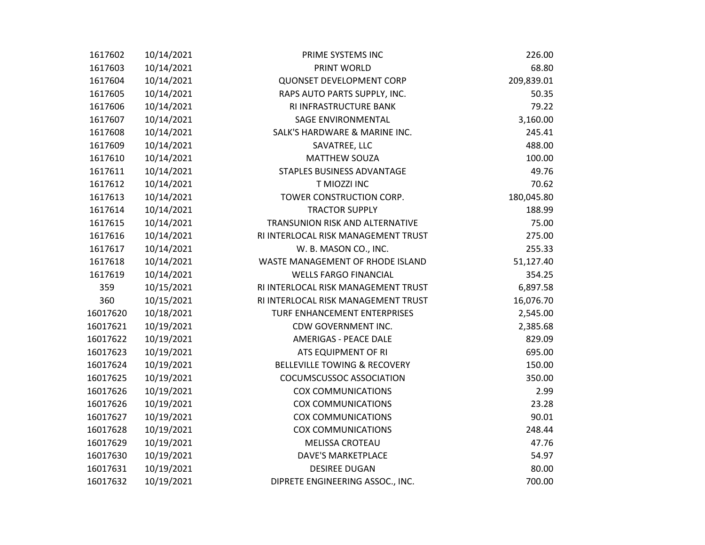| 1617602  | 10/14/2021 | PRIME SYSTEMS INC                   | 226.00     |
|----------|------------|-------------------------------------|------------|
| 1617603  | 10/14/2021 | PRINT WORLD                         | 68.80      |
| 1617604  | 10/14/2021 | <b>QUONSET DEVELOPMENT CORP</b>     | 209,839.01 |
| 1617605  | 10/14/2021 | RAPS AUTO PARTS SUPPLY, INC.        | 50.35      |
| 1617606  | 10/14/2021 | RI INFRASTRUCTURE BANK              | 79.22      |
| 1617607  | 10/14/2021 | SAGE ENVIRONMENTAL                  | 3,160.00   |
| 1617608  | 10/14/2021 | SALK'S HARDWARE & MARINE INC.       | 245.41     |
| 1617609  | 10/14/2021 | SAVATREE, LLC                       | 488.00     |
| 1617610  | 10/14/2021 | <b>MATTHEW SOUZA</b>                | 100.00     |
| 1617611  | 10/14/2021 | STAPLES BUSINESS ADVANTAGE          | 49.76      |
| 1617612  | 10/14/2021 | T MIOZZI INC                        | 70.62      |
| 1617613  | 10/14/2021 | TOWER CONSTRUCTION CORP.            | 180,045.80 |
| 1617614  | 10/14/2021 | <b>TRACTOR SUPPLY</b>               | 188.99     |
| 1617615  | 10/14/2021 | TRANSUNION RISK AND ALTERNATIVE     | 75.00      |
| 1617616  | 10/14/2021 | RI INTERLOCAL RISK MANAGEMENT TRUST | 275.00     |
| 1617617  | 10/14/2021 | W. B. MASON CO., INC.               | 255.33     |
| 1617618  | 10/14/2021 | WASTE MANAGEMENT OF RHODE ISLAND    | 51,127.40  |
| 1617619  | 10/14/2021 | <b>WELLS FARGO FINANCIAL</b>        | 354.25     |
| 359      | 10/15/2021 | RI INTERLOCAL RISK MANAGEMENT TRUST | 6,897.58   |
| 360      | 10/15/2021 | RI INTERLOCAL RISK MANAGEMENT TRUST | 16,076.70  |
| 16017620 | 10/18/2021 | TURF ENHANCEMENT ENTERPRISES        | 2,545.00   |
| 16017621 | 10/19/2021 | CDW GOVERNMENT INC.                 | 2,385.68   |
| 16017622 | 10/19/2021 | <b>AMERIGAS - PEACE DALE</b>        | 829.09     |
| 16017623 | 10/19/2021 | ATS EQUIPMENT OF RI                 | 695.00     |
| 16017624 | 10/19/2021 | BELLEVILLE TOWING & RECOVERY        | 150.00     |
| 16017625 | 10/19/2021 | <b>COCUMSCUSSOC ASSOCIATION</b>     | 350.00     |
| 16017626 | 10/19/2021 | <b>COX COMMUNICATIONS</b>           | 2.99       |
| 16017626 | 10/19/2021 | <b>COX COMMUNICATIONS</b>           | 23.28      |
| 16017627 | 10/19/2021 | <b>COX COMMUNICATIONS</b>           | 90.01      |
| 16017628 | 10/19/2021 | <b>COX COMMUNICATIONS</b>           | 248.44     |
| 16017629 | 10/19/2021 | MELISSA CROTEAU                     | 47.76      |
| 16017630 | 10/19/2021 | <b>DAVE'S MARKETPLACE</b>           | 54.97      |
| 16017631 | 10/19/2021 | <b>DESIREE DUGAN</b>                | 80.00      |
| 16017632 | 10/19/2021 | DIPRETE ENGINEERING ASSOC., INC.    | 700.00     |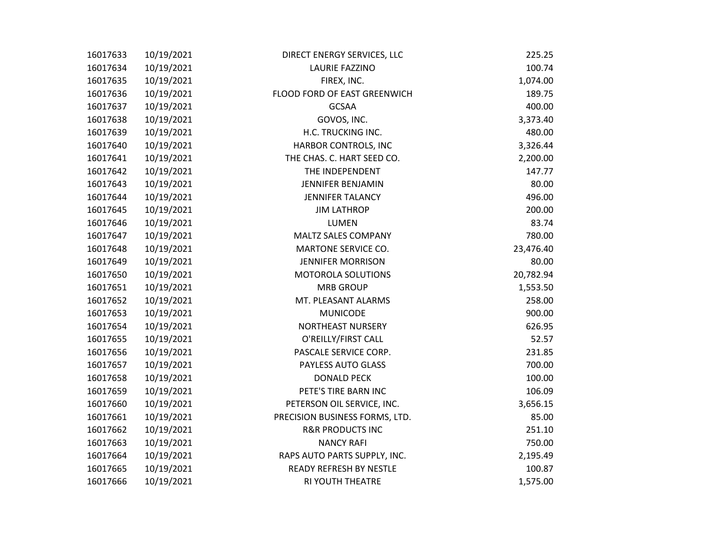| 16017633 | 10/19/2021 | DIRECT ENERGY SERVICES, LLC    | 225.25    |
|----------|------------|--------------------------------|-----------|
| 16017634 | 10/19/2021 | <b>LAURIE FAZZINO</b>          | 100.74    |
| 16017635 | 10/19/2021 | FIREX, INC.                    | 1,074.00  |
| 16017636 | 10/19/2021 | FLOOD FORD OF EAST GREENWICH   | 189.75    |
| 16017637 | 10/19/2021 | <b>GCSAA</b>                   | 400.00    |
| 16017638 | 10/19/2021 | GOVOS, INC.                    | 3,373.40  |
| 16017639 | 10/19/2021 | H.C. TRUCKING INC.             | 480.00    |
| 16017640 | 10/19/2021 | HARBOR CONTROLS, INC           | 3,326.44  |
| 16017641 | 10/19/2021 | THE CHAS. C. HART SEED CO.     | 2,200.00  |
| 16017642 | 10/19/2021 | THE INDEPENDENT                | 147.77    |
| 16017643 | 10/19/2021 | <b>JENNIFER BENJAMIN</b>       | 80.00     |
| 16017644 | 10/19/2021 | <b>JENNIFER TALANCY</b>        | 496.00    |
| 16017645 | 10/19/2021 | <b>JIM LATHROP</b>             | 200.00    |
| 16017646 | 10/19/2021 | <b>LUMEN</b>                   | 83.74     |
| 16017647 | 10/19/2021 | MALTZ SALES COMPANY            | 780.00    |
| 16017648 | 10/19/2021 | MARTONE SERVICE CO.            | 23,476.40 |
| 16017649 | 10/19/2021 | <b>JENNIFER MORRISON</b>       | 80.00     |
| 16017650 | 10/19/2021 | MOTOROLA SOLUTIONS             | 20,782.94 |
| 16017651 | 10/19/2021 | <b>MRB GROUP</b>               | 1,553.50  |
| 16017652 | 10/19/2021 | MT. PLEASANT ALARMS            | 258.00    |
| 16017653 | 10/19/2021 | <b>MUNICODE</b>                | 900.00    |
| 16017654 | 10/19/2021 | NORTHEAST NURSERY              | 626.95    |
| 16017655 | 10/19/2021 | O'REILLY/FIRST CALL            | 52.57     |
| 16017656 | 10/19/2021 | PASCALE SERVICE CORP.          | 231.85    |
| 16017657 | 10/19/2021 | PAYLESS AUTO GLASS             | 700.00    |
| 16017658 | 10/19/2021 | <b>DONALD PECK</b>             | 100.00    |
| 16017659 | 10/19/2021 | PETE'S TIRE BARN INC           | 106.09    |
| 16017660 | 10/19/2021 | PETERSON OIL SERVICE, INC.     | 3,656.15  |
| 16017661 | 10/19/2021 | PRECISION BUSINESS FORMS, LTD. | 85.00     |
| 16017662 | 10/19/2021 | <b>R&amp;R PRODUCTS INC</b>    | 251.10    |
| 16017663 | 10/19/2021 | <b>NANCY RAFI</b>              | 750.00    |
| 16017664 | 10/19/2021 | RAPS AUTO PARTS SUPPLY, INC.   | 2,195.49  |
| 16017665 | 10/19/2021 | <b>READY REFRESH BY NESTLE</b> | 100.87    |
| 16017666 | 10/19/2021 | <b>RI YOUTH THEATRE</b>        | 1,575.00  |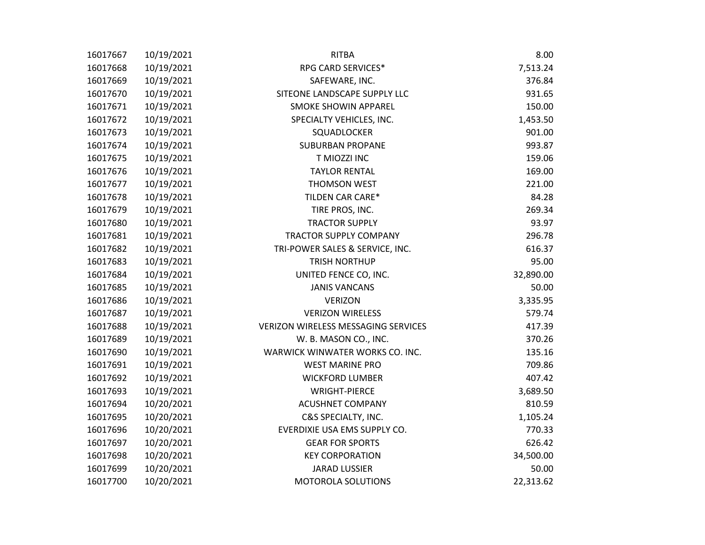| 16017667 | 10/19/2021 | <b>RITBA</b>                               | 8.00      |
|----------|------------|--------------------------------------------|-----------|
| 16017668 | 10/19/2021 | RPG CARD SERVICES*                         | 7,513.24  |
| 16017669 | 10/19/2021 | SAFEWARE, INC.                             | 376.84    |
| 16017670 | 10/19/2021 | SITEONE LANDSCAPE SUPPLY LLC               | 931.65    |
| 16017671 | 10/19/2021 | <b>SMOKE SHOWIN APPAREL</b>                | 150.00    |
| 16017672 | 10/19/2021 | SPECIALTY VEHICLES, INC.                   | 1,453.50  |
| 16017673 | 10/19/2021 | SQUADLOCKER                                | 901.00    |
| 16017674 | 10/19/2021 | <b>SUBURBAN PROPANE</b>                    | 993.87    |
| 16017675 | 10/19/2021 | T MIOZZI INC                               | 159.06    |
| 16017676 | 10/19/2021 | <b>TAYLOR RENTAL</b>                       | 169.00    |
| 16017677 | 10/19/2021 | THOMSON WEST                               | 221.00    |
| 16017678 | 10/19/2021 | TILDEN CAR CARE*                           | 84.28     |
| 16017679 | 10/19/2021 | TIRE PROS, INC.                            | 269.34    |
| 16017680 | 10/19/2021 | <b>TRACTOR SUPPLY</b>                      | 93.97     |
| 16017681 | 10/19/2021 | TRACTOR SUPPLY COMPANY                     | 296.78    |
| 16017682 | 10/19/2021 | TRI-POWER SALES & SERVICE, INC.            | 616.37    |
| 16017683 | 10/19/2021 | <b>TRISH NORTHUP</b>                       | 95.00     |
| 16017684 | 10/19/2021 | UNITED FENCE CO, INC.                      | 32,890.00 |
| 16017685 | 10/19/2021 | <b>JANIS VANCANS</b>                       | 50.00     |
| 16017686 | 10/19/2021 | <b>VERIZON</b>                             | 3,335.95  |
| 16017687 | 10/19/2021 | <b>VERIZON WIRELESS</b>                    | 579.74    |
| 16017688 | 10/19/2021 | <b>VERIZON WIRELESS MESSAGING SERVICES</b> | 417.39    |
| 16017689 | 10/19/2021 | W. B. MASON CO., INC.                      | 370.26    |
| 16017690 | 10/19/2021 | WARWICK WINWATER WORKS CO. INC.            | 135.16    |
| 16017691 | 10/19/2021 | <b>WEST MARINE PRO</b>                     | 709.86    |
| 16017692 | 10/19/2021 | <b>WICKFORD LUMBER</b>                     | 407.42    |
| 16017693 | 10/19/2021 | <b>WRIGHT-PIERCE</b>                       | 3,689.50  |
| 16017694 | 10/20/2021 | <b>ACUSHNET COMPANY</b>                    | 810.59    |
| 16017695 | 10/20/2021 | C&S SPECIALTY, INC.                        | 1,105.24  |
| 16017696 | 10/20/2021 | EVERDIXIE USA EMS SUPPLY CO.               | 770.33    |
| 16017697 | 10/20/2021 | <b>GEAR FOR SPORTS</b>                     | 626.42    |
| 16017698 | 10/20/2021 | <b>KEY CORPORATION</b>                     | 34,500.00 |
| 16017699 | 10/20/2021 | <b>JARAD LUSSIER</b>                       | 50.00     |
| 16017700 | 10/20/2021 | MOTOROLA SOLUTIONS                         | 22,313.62 |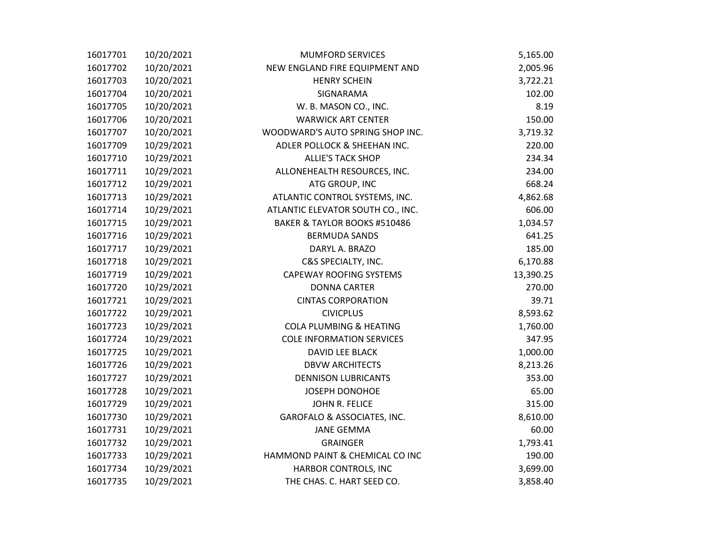| 16017701 | 10/20/2021 | <b>MUMFORD SERVICES</b>            | 5,165.00  |
|----------|------------|------------------------------------|-----------|
| 16017702 | 10/20/2021 | NEW ENGLAND FIRE EQUIPMENT AND     | 2,005.96  |
| 16017703 | 10/20/2021 | <b>HENRY SCHEIN</b>                | 3,722.21  |
| 16017704 | 10/20/2021 | SIGNARAMA                          | 102.00    |
| 16017705 | 10/20/2021 | W. B. MASON CO., INC.              | 8.19      |
| 16017706 | 10/20/2021 | <b>WARWICK ART CENTER</b>          | 150.00    |
| 16017707 | 10/20/2021 | WOODWARD'S AUTO SPRING SHOP INC.   | 3,719.32  |
| 16017709 | 10/29/2021 | ADLER POLLOCK & SHEEHAN INC.       | 220.00    |
| 16017710 | 10/29/2021 | <b>ALLIE'S TACK SHOP</b>           | 234.34    |
| 16017711 | 10/29/2021 | ALLONEHEALTH RESOURCES, INC.       | 234.00    |
| 16017712 | 10/29/2021 | ATG GROUP, INC                     | 668.24    |
| 16017713 | 10/29/2021 | ATLANTIC CONTROL SYSTEMS, INC.     | 4,862.68  |
| 16017714 | 10/29/2021 | ATLANTIC ELEVATOR SOUTH CO., INC.  | 606.00    |
| 16017715 | 10/29/2021 | BAKER & TAYLOR BOOKS #510486       | 1,034.57  |
| 16017716 | 10/29/2021 | <b>BERMUDA SANDS</b>               | 641.25    |
| 16017717 | 10/29/2021 | DARYL A. BRAZO                     | 185.00    |
| 16017718 | 10/29/2021 | C&S SPECIALTY, INC.                | 6,170.88  |
| 16017719 | 10/29/2021 | <b>CAPEWAY ROOFING SYSTEMS</b>     | 13,390.25 |
| 16017720 | 10/29/2021 | <b>DONNA CARTER</b>                | 270.00    |
| 16017721 | 10/29/2021 | <b>CINTAS CORPORATION</b>          | 39.71     |
| 16017722 | 10/29/2021 | <b>CIVICPLUS</b>                   | 8,593.62  |
| 16017723 | 10/29/2021 | <b>COLA PLUMBING &amp; HEATING</b> | 1,760.00  |
| 16017724 | 10/29/2021 | <b>COLE INFORMATION SERVICES</b>   | 347.95    |
| 16017725 | 10/29/2021 | DAVID LEE BLACK                    | 1,000.00  |
| 16017726 | 10/29/2021 | <b>DBVW ARCHITECTS</b>             | 8,213.26  |
| 16017727 | 10/29/2021 | <b>DENNISON LUBRICANTS</b>         | 353.00    |
| 16017728 | 10/29/2021 | JOSEPH DONOHOE                     | 65.00     |
| 16017729 | 10/29/2021 | JOHN R. FELICE                     | 315.00    |
| 16017730 | 10/29/2021 | GAROFALO & ASSOCIATES, INC.        | 8,610.00  |
| 16017731 | 10/29/2021 | <b>JANE GEMMA</b>                  | 60.00     |
| 16017732 | 10/29/2021 | <b>GRAINGER</b>                    | 1,793.41  |
| 16017733 | 10/29/2021 | HAMMOND PAINT & CHEMICAL CO INC    | 190.00    |
| 16017734 | 10/29/2021 | HARBOR CONTROLS, INC               | 3,699.00  |
| 16017735 | 10/29/2021 | THE CHAS. C. HART SEED CO.         | 3,858.40  |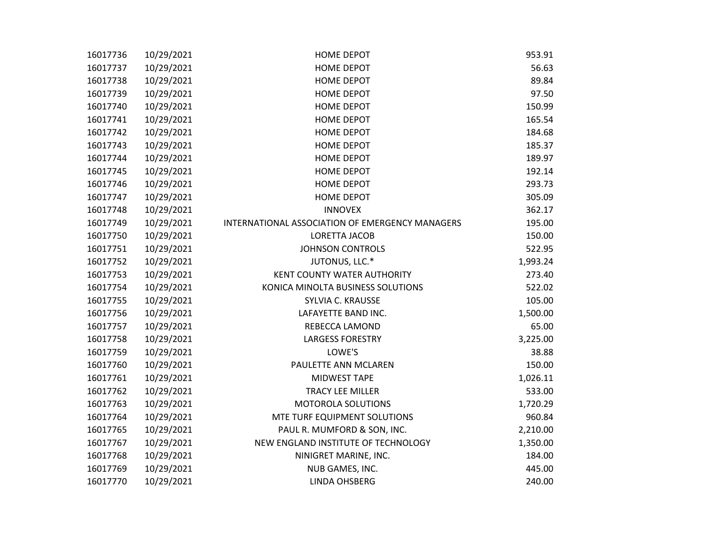| 16017736 | 10/29/2021 | <b>HOME DEPOT</b>                               | 953.91   |
|----------|------------|-------------------------------------------------|----------|
| 16017737 | 10/29/2021 | <b>HOME DEPOT</b>                               | 56.63    |
| 16017738 | 10/29/2021 | <b>HOME DEPOT</b>                               | 89.84    |
| 16017739 | 10/29/2021 | <b>HOME DEPOT</b>                               | 97.50    |
| 16017740 | 10/29/2021 | <b>HOME DEPOT</b>                               | 150.99   |
| 16017741 | 10/29/2021 | <b>HOME DEPOT</b>                               | 165.54   |
| 16017742 | 10/29/2021 | <b>HOME DEPOT</b>                               | 184.68   |
| 16017743 | 10/29/2021 | <b>HOME DEPOT</b>                               | 185.37   |
| 16017744 | 10/29/2021 | <b>HOME DEPOT</b>                               | 189.97   |
| 16017745 | 10/29/2021 | <b>HOME DEPOT</b>                               | 192.14   |
| 16017746 | 10/29/2021 | <b>HOME DEPOT</b>                               | 293.73   |
| 16017747 | 10/29/2021 | <b>HOME DEPOT</b>                               | 305.09   |
| 16017748 | 10/29/2021 | <b>INNOVEX</b>                                  | 362.17   |
| 16017749 | 10/29/2021 | INTERNATIONAL ASSOCIATION OF EMERGENCY MANAGERS | 195.00   |
| 16017750 | 10/29/2021 | LORETTA JACOB                                   | 150.00   |
| 16017751 | 10/29/2021 | <b>JOHNSON CONTROLS</b>                         | 522.95   |
| 16017752 | 10/29/2021 | JUTONUS, LLC.*                                  | 1,993.24 |
| 16017753 | 10/29/2021 | KENT COUNTY WATER AUTHORITY                     | 273.40   |
| 16017754 | 10/29/2021 | KONICA MINOLTA BUSINESS SOLUTIONS               | 522.02   |
| 16017755 | 10/29/2021 | SYLVIA C. KRAUSSE                               | 105.00   |
| 16017756 | 10/29/2021 | LAFAYETTE BAND INC.                             | 1,500.00 |
| 16017757 | 10/29/2021 | REBECCA LAMOND                                  | 65.00    |
| 16017758 | 10/29/2021 | <b>LARGESS FORESTRY</b>                         | 3,225.00 |
| 16017759 | 10/29/2021 | LOWE'S                                          | 38.88    |
| 16017760 | 10/29/2021 | PAULETTE ANN MCLAREN                            | 150.00   |
| 16017761 | 10/29/2021 | MIDWEST TAPE                                    | 1,026.11 |
| 16017762 | 10/29/2021 | <b>TRACY LEE MILLER</b>                         | 533.00   |
| 16017763 | 10/29/2021 | MOTOROLA SOLUTIONS                              | 1,720.29 |
| 16017764 | 10/29/2021 | MTE TURF EQUIPMENT SOLUTIONS                    | 960.84   |
| 16017765 | 10/29/2021 | PAUL R. MUMFORD & SON, INC.                     | 2,210.00 |
| 16017767 | 10/29/2021 | NEW ENGLAND INSTITUTE OF TECHNOLOGY             | 1,350.00 |
| 16017768 | 10/29/2021 | NINIGRET MARINE, INC.                           | 184.00   |
| 16017769 | 10/29/2021 | NUB GAMES, INC.                                 | 445.00   |
| 16017770 | 10/29/2021 | <b>LINDA OHSBERG</b>                            | 240.00   |